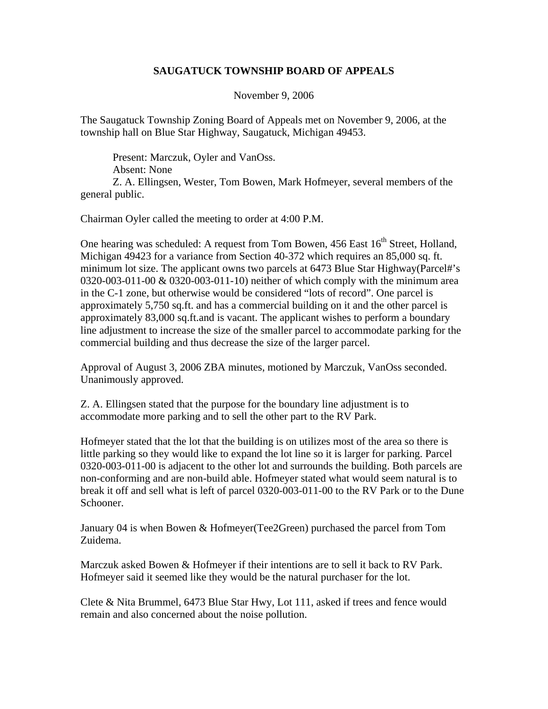## **SAUGATUCK TOWNSHIP BOARD OF APPEALS**

November 9, 2006

The Saugatuck Township Zoning Board of Appeals met on November 9, 2006, at the township hall on Blue Star Highway, Saugatuck, Michigan 49453.

 Present: Marczuk, Oyler and VanOss. Absent: None Z. A. Ellingsen, Wester, Tom Bowen, Mark Hofmeyer, several members of the general public.

Chairman Oyler called the meeting to order at 4:00 P.M.

One hearing was scheduled: A request from Tom Bowen, 456 East 16<sup>th</sup> Street, Holland, Michigan 49423 for a variance from Section 40-372 which requires an 85,000 sq. ft. minimum lot size. The applicant owns two parcels at 6473 Blue Star Highway(Parcel#'s 0320-003-011-00 & 0320-003-011-10) neither of which comply with the minimum area in the C-1 zone, but otherwise would be considered "lots of record". One parcel is approximately 5,750 sq.ft. and has a commercial building on it and the other parcel is approximately 83,000 sq.ft.and is vacant. The applicant wishes to perform a boundary line adjustment to increase the size of the smaller parcel to accommodate parking for the commercial building and thus decrease the size of the larger parcel.

Approval of August 3, 2006 ZBA minutes, motioned by Marczuk, VanOss seconded. Unanimously approved.

Z. A. Ellingsen stated that the purpose for the boundary line adjustment is to accommodate more parking and to sell the other part to the RV Park.

Hofmeyer stated that the lot that the building is on utilizes most of the area so there is little parking so they would like to expand the lot line so it is larger for parking. Parcel 0320-003-011-00 is adjacent to the other lot and surrounds the building. Both parcels are non-conforming and are non-build able. Hofmeyer stated what would seem natural is to break it off and sell what is left of parcel 0320-003-011-00 to the RV Park or to the Dune Schooner.

January 04 is when Bowen & Hofmeyer(Tee2Green) purchased the parcel from Tom Zuidema.

Marczuk asked Bowen & Hofmeyer if their intentions are to sell it back to RV Park. Hofmeyer said it seemed like they would be the natural purchaser for the lot.

Clete & Nita Brummel, 6473 Blue Star Hwy, Lot 111, asked if trees and fence would remain and also concerned about the noise pollution.